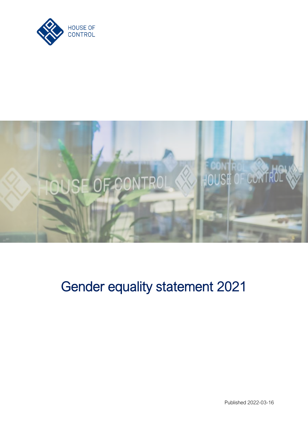



# Gender equality statement 2021

Published 2022-03-16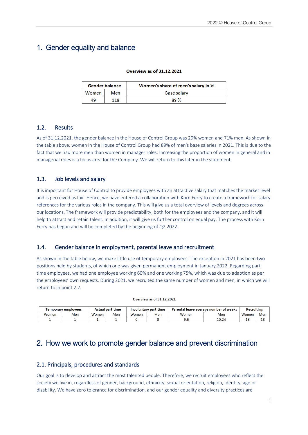# 1. Gender equality and balance

#### **Overview as of 31.12.2021**

| Gender balance      |     | Women's share of men's salary in % |  |  |  |
|---------------------|-----|------------------------------------|--|--|--|
| <b>Women</b><br>Men |     | <b>Base salary</b>                 |  |  |  |
| 49                  | 118 | 89%                                |  |  |  |

#### 1.2. Results

As of 31.12.2021, the gender balance in the House of Control Group was 29% women and 71% men. As shown in the table above, women in the House of Control Group had 89% of men's base salaries in 2021. This is due to the fact that we had more men than women in manager roles. Increasing the proportion of women in general and in managerial roles is a focus area for the Company. We will return to this later in the statement.

### 1.3. Job levels and salary

It is important for House of Control to provide employees with an attractive salary that matches the market level and is perceived as fair. Hence, we have entered a collaboration with Korn Ferry to create a framework for salary references for the various roles in the company. This will give us a total overview of levels and degrees across our locations. The framework will provide predictability, both for the employees and the company, and it will help to attract and retain talent. In addition, it will give us further control on equal pay. The process with Korn Ferry has begun and will be completed by the beginning of Q2 2022.

# 1.4. Gender balance in employment, parental leave and recruitment

As shown in the table below, we make little use of temporary employees. The exception in 2021 has been two positions held by students, of which one was given permanent employment in January 2022. Regarding parttime employees, we had one employee working 60% and one working 75%, which was due to adaption as per the employees' own requests. During 2021, we recruited the same number of women and men, in which we will return to in point 2.2.

#### **Overview as of 31.12.2021**

| Temporary employees |     | <b>Actual part-time</b> |     | Involuntary part-time |     | Parental leave average number of weeks |                | <b>Recruiting</b> |     |
|---------------------|-----|-------------------------|-----|-----------------------|-----|----------------------------------------|----------------|-------------------|-----|
| Women               | Men | Women                   | Men | Women                 | Men | Women                                  | Men            | Women             | Mer |
|                     |     |                         |     |                       |     |                                        | ر م م<br>10.24 | 18                | 18  |

# 2. How we work to promote gender balance and prevent discrimination

# 2.1. Principals, procedures and standards

Our goal is to develop and attract the most talented people. Therefore, we recruit employees who reflect the society we live in, regardless of gender, background, ethnicity, sexual orientation, religion, identity, age or disability. We have zero tolerance for discrimination, and our gender equality and diversity practices are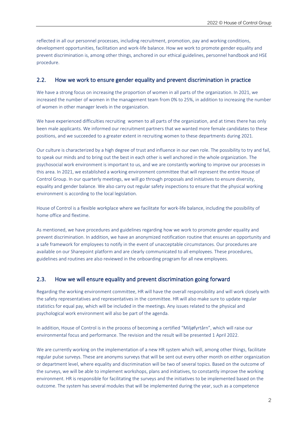reflected in all our personnel processes, including recruitment, promotion, pay and working conditions, development opportunities, facilitation and work-life balance. How we work to promote gender equality and prevent discrimination is, among other things, anchored in our ethical guidelines, personnel handbook and HSE procedure.

#### 2.2. How we work to ensure gender equality and prevent discrimination in practice

We have a strong focus on increasing the proportion of women in all parts of the organization. In 2021, we increased the number of women in the management team from 0% to 25%, in addition to increasing the number of women in other manager levels in the organization.

We have experienced difficulties recruiting women to all parts of the organization, and at times there has only been male applicants. We informed our recruitment partners that we wanted more female candidates to these positions, and we succeeded to a greater extent in recruiting women to these departments during 2021.

Our culture is characterized by a high degree of trust and influence in our own role. The possibility to try and fail, to speak our minds and to bring out the best in each other is well anchored in the whole organization. The psychosocial work environment is important to us, and we are constantly working to improve our processes in this area. In 2021, we established a working environment committee that will represent the entire House of Control Group. In our quarterly meetings, we will go through proposals and initiatives to ensure diversity, equality and gender balance. We also carry out regular safety inspections to ensure that the physical working environment is according to the local legislation.

House of Control is a flexible workplace where we facilitate for work-life balance, including the possibility of home office and flextime.

As mentioned, we have procedures and guidelines regarding how we work to promote gender equality and prevent discrimination. In addition, we have an anonymized notification routine that ensures an opportunity and a safe framework for employees to notify in the event of unacceptable circumstances. Our procedures are available on our Sharepoint platform and are clearly communicated to all employees. These procedures, guidelines and routines are also reviewed in the onboarding program for all new employees.

#### 2.3. How we will ensure equality and prevent discrimination going forward

Regarding the working environment committee, HR will have the overall responsibility and will work closely with the safety representatives and representatives in the committee. HR will also make sure to update regular statistics for equal pay, which will be included in the meetings. Any issues related to the physical and psychological work environment will also be part of the agenda.

In addition, House of Control is in the process of becoming a certified "Miljøfyrtårn", which will raise our environmental focus and performance. The revision and the result will be presented 1 April 2022.

We are currently working on the implementation of a new HR system which will, among other things, facilitate regular pulse surveys. These are anonyms surveys that will be sent out every other month on either organization or department level, where equality and discrimination will be two of several topics. Based on the outcome of the surveys, we will be able to implement workshops, plans and initiatives, to constantly improve the working environment. HR is responsible for facilitating the surveys and the initiatives to be implemented based on the outcome. The system has several modules that will be implemented during the year, such as a competence